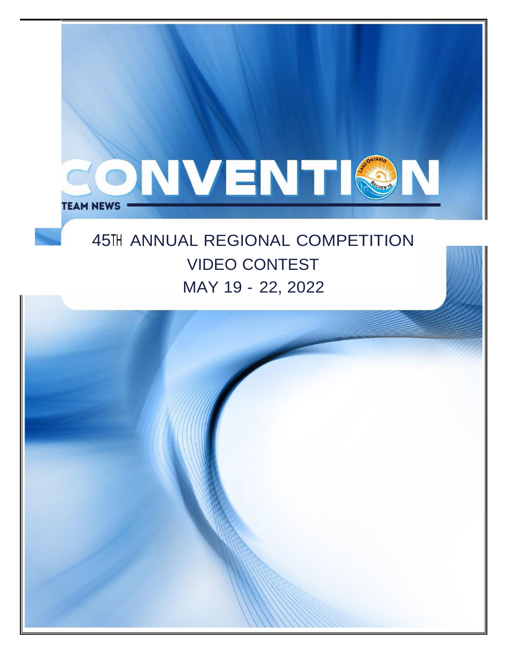

# 45TH ANNUAL REGIONAL COMPETITION VIDEO CONTEST MAY 19 - 22, 2022

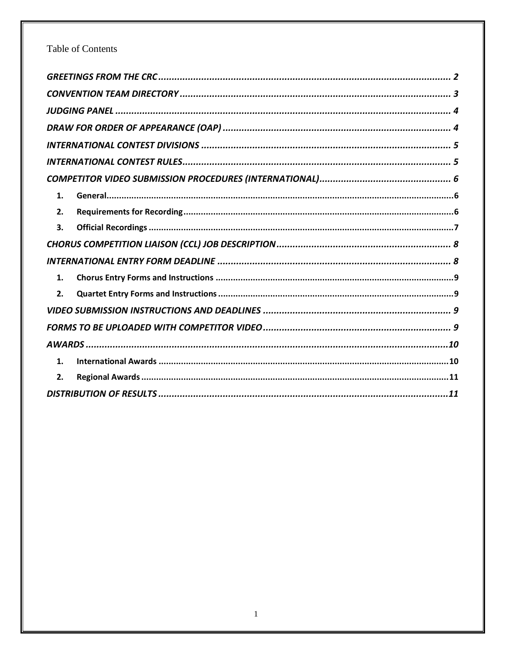# Table of Contents

| 1. |
|----|
| 2. |
| 3. |
|    |
|    |
| 1. |
| 2. |
|    |
|    |
|    |
| 1. |
| 2. |
|    |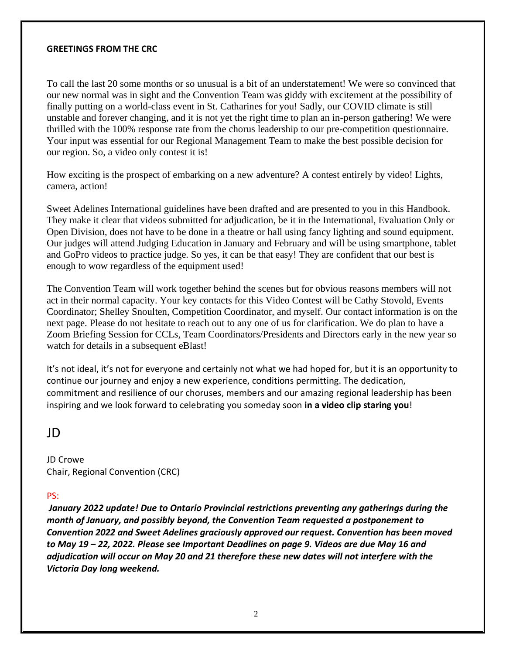#### <span id="page-2-0"></span>**GREETINGS FROM THE CRC**

To call the last 20 some months or so unusual is a bit of an understatement! We were so convinced that our new normal was in sight and the Convention Team was giddy with excitement at the possibility of finally putting on a world-class event in St. Catharines for you! Sadly, our COVID climate is still unstable and forever changing, and it is not yet the right time to plan an in-person gathering! We were thrilled with the 100% response rate from the chorus leadership to our pre-competition questionnaire. Your input was essential for our Regional Management Team to make the best possible decision for our region. So, a video only contest it is!

How exciting is the prospect of embarking on a new adventure? A contest entirely by video! Lights, camera, action!

Sweet Adelines International guidelines have been drafted and are presented to you in this Handbook. They make it clear that videos submitted for adjudication, be it in the International, Evaluation Only or Open Division, does not have to be done in a theatre or hall using fancy lighting and sound equipment. Our judges will attend Judging Education in January and February and will be using smartphone, tablet and GoPro videos to practice judge. So yes, it can be that easy! They are confident that our best is enough to wow regardless of the equipment used!

The Convention Team will work together behind the scenes but for obvious reasons members will not act in their normal capacity. Your key contacts for this Video Contest will be Cathy Stovold, Events Coordinator; Shelley Snoulten, Competition Coordinator, and myself. Our contact information is on the next page. Please do not hesitate to reach out to any one of us for clarification. We do plan to have a Zoom Briefing Session for CCLs, Team Coordinators/Presidents and Directors early in the new year so watch for details in a subsequent eBlast!

It's not ideal, it's not for everyone and certainly not what we had hoped for, but it is an opportunity to continue our journey and enjoy a new experience, conditions permitting. The dedication, commitment and resilience of our choruses, members and our amazing regional leadership has been inspiring and we look forward to celebrating you someday soon **in a video clip staring you**!

# JD

JD Crowe Chair, Regional Convention (CRC)

### PS:

*January 2022 update! Due to Ontario Provincial restrictions preventing any gatherings during the month of January, and possibly beyond, the Convention Team requested a postponement to Convention 2022 and Sweet Adelines graciously approved our request. Convention has been moved to May 19 – 22, 2022. Please see Important Deadlines on page 9. Videos are due May 16 and adjudication will occur on May 20 and 21 therefore these new dates will not interfere with the Victoria Day long weekend.*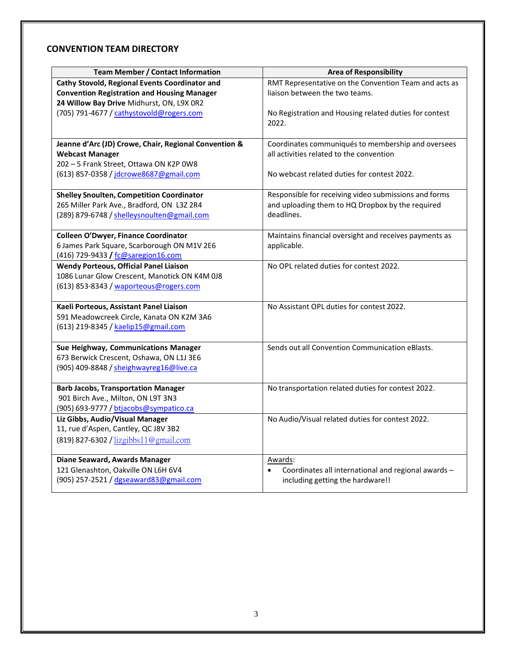#### <span id="page-3-0"></span>**CONVENTION TEAM DIRECTORY**

| <b>Team Member / Contact Information</b>                                         | <b>Area of Responsibility</b>                          |  |
|----------------------------------------------------------------------------------|--------------------------------------------------------|--|
| Cathy Stovold, Regional Events Coordinator and                                   | RMT Representative on the Convention Team and acts as  |  |
| <b>Convention Registration and Housing Manager</b>                               | liaison between the two teams.                         |  |
| 24 Willow Bay Drive Midhurst, ON, L9X 0R2                                        |                                                        |  |
| (705) 791-4677 / cathystovold@rogers.com                                         | No Registration and Housing related duties for contest |  |
|                                                                                  | 2022.                                                  |  |
|                                                                                  |                                                        |  |
| Jeanne d'Arc (JD) Crowe, Chair, Regional Convention &                            | Coordinates communiqués to membership and oversees     |  |
| <b>Webcast Manager</b>                                                           | all activities related to the convention               |  |
| 202 - 5 Frank Street, Ottawa ON K2P 0W8                                          |                                                        |  |
| (613) 857-0358 / jdcrowe8687@gmail.com                                           | No webcast related duties for contest 2022.            |  |
|                                                                                  |                                                        |  |
| <b>Shelley Snoulten, Competition Coordinator</b>                                 | Responsible for receiving video submissions and forms  |  |
| 265 Miller Park Ave., Bradford, ON L3Z 2R4                                       | and uploading them to HQ Dropbox by the required       |  |
| (289) 879-6748 / shelleysnoulten@gmail.com                                       | deadlines.                                             |  |
|                                                                                  |                                                        |  |
| <b>Colleen O'Dwyer, Finance Coordinator</b>                                      | Maintains financial oversight and receives payments as |  |
| 6 James Park Square, Scarborough ON M1V 2E6                                      | applicable.                                            |  |
| (416) 729-9433 / fc@saregion16.com                                               |                                                        |  |
| <b>Wendy Porteous, Official Panel Liaison</b>                                    | No OPL related duties for contest 2022.                |  |
| 1086 Lunar Glow Crescent, Manotick ON K4M 0J8                                    |                                                        |  |
| (613) 853-8343 / waporteous@rogers.com                                           |                                                        |  |
|                                                                                  |                                                        |  |
| Kaeli Porteous, Assistant Panel Liaison                                          | No Assistant OPL duties for contest 2022.              |  |
| 591 Meadowcreek Circle, Kanata ON K2M 3A6                                        |                                                        |  |
| (613) 219-8345 / kaelip15@gmail.com                                              |                                                        |  |
|                                                                                  |                                                        |  |
| Sue Heighway, Communications Manager                                             | Sends out all Convention Communication eBlasts.        |  |
| 673 Berwick Crescent, Oshawa, ON L1J 3E6                                         |                                                        |  |
| (905) 409-8848 / sheighwayreg16@live.ca                                          |                                                        |  |
|                                                                                  |                                                        |  |
| <b>Barb Jacobs, Transportation Manager</b><br>901 Birch Ave., Milton, ON L9T 3N3 | No transportation related duties for contest 2022.     |  |
| (905) 693-9777 / btjacobs@sympatico.ca                                           |                                                        |  |
| Liz Gibbs, Audio/Visual Manager                                                  | No Audio/Visual related duties for contest 2022.       |  |
| 11, rue d'Aspen, Cantley, QC J8V 3B2                                             |                                                        |  |
|                                                                                  |                                                        |  |
| (819) 827-6302 / lizgibbs11@gmail.com                                            |                                                        |  |
| Diane Seaward, Awards Manager                                                    | <u>Awards:</u>                                         |  |
| 121 Glenashton, Oakville ON L6H 6V4                                              | Coordinates all international and regional awards -    |  |
| (905) 257-2521 / dgseaward83@gmail.com                                           | including getting the hardware!!                       |  |
|                                                                                  |                                                        |  |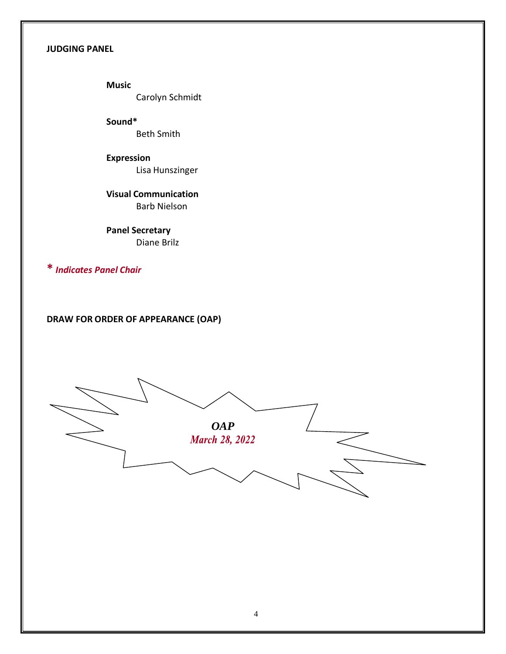#### <span id="page-4-0"></span>**JUDGING PANEL**

**Music** Carolyn Schmidt

**Sound\*** Beth Smith

**Expression** Lisa Hunszinger

**Visual Communication** Barb Nielson

**Panel Secretary** Diane Brilz

**\*** *Indicates Panel Chair*

<span id="page-4-1"></span>**DRAW FOR ORDER OF APPEARANCE (OAP)**

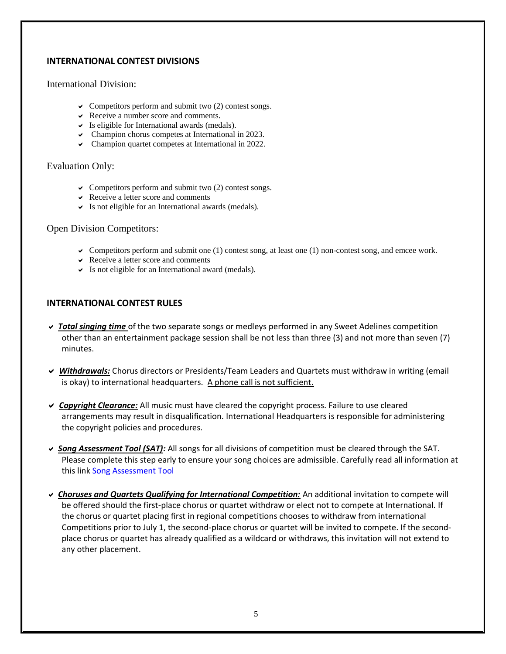#### <span id="page-5-0"></span>**INTERNATIONAL CONTEST DIVISIONS**

#### International Division:

- $\vee$  Competitors perform and submit two (2) contest songs.
- $\vee$  Receive a number score and comments.
- $\triangleright$  Is eligible for International awards (medals).
- Champion chorus competes at International in 2023.
- Champion quartet competes at International in 2022.

#### Evaluation Only:

- $\vee$  Competitors perform and submit two (2) contest songs.
- $\vee$  Receive a letter score and comments
- $\triangleright$  Is not eligible for an International awards (medals).

#### Open Division Competitors:

- $\triangleright$  Competitors perform and submit one (1) contest song, at least one (1) non-contest song, and emcee work.
- $\vee$  Receive a letter score and comments
- $\triangleright$  Is not eligible for an International award (medals).

#### <span id="page-5-1"></span>**INTERNATIONAL CONTEST RULES**

- *Total singing time* of the two separate songs or medleys performed in any Sweet Adelines competition other than an entertainment package session shall be not less than three (3) and not more than seven (7) minutes.
- *Withdrawals:* Chorus directors or Presidents/Team Leaders and Quartets must withdraw in writing (email is okay) to international headquarters. A phone call is not sufficient.
- *Copyright Clearance:* All music must have cleared the copyright process. Failure to use cleared arrangements may result in disqualification. International Headquarters is responsible for administering the copyright policies and procedures.
- *Song Assessment Tool (SAT):* All songs for all divisions of competition must be cleared through the SAT. Please complete this step early to ensure your song choices are admissible. Carefully read all information at this link Song [Assessment Tool](https://sweetadelines.com/diversity-equity-inclusion/member-resources/song-assessment-tool)
- *Choruses and Quartets Qualifying for International Competition:* An additional invitation to compete will be offered should the first-place chorus or quartet withdraw or elect not to compete at International. If the chorus or quartet placing first in regional competitions chooses to withdraw from international Competitions prior to July 1, the second-place chorus or quartet will be invited to compete. If the secondplace chorus or quartet has already qualified as a wildcard or withdraws, this invitation will not extend to any other placement.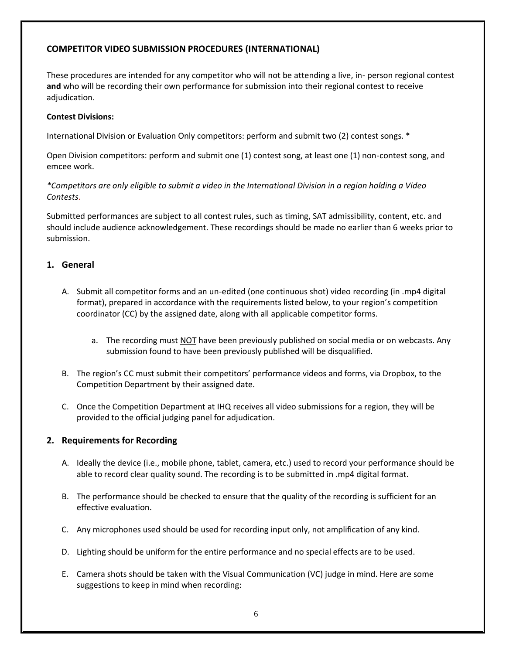### <span id="page-6-0"></span>**COMPETITOR VIDEO SUBMISSION PROCEDURES (INTERNATIONAL)**

These procedures are intended for any competitor who will not be attending a live, in- person regional contest **and** who will be recording their own performance for submission into their regional contest to receive adjudication.

#### **Contest Divisions:**

International Division or Evaluation Only competitors: perform and submit two (2) contest songs. \*

Open Division competitors: perform and submit one (1) contest song, at least one (1) non-contest song, and emcee work.

*\*Competitors are only eligible to submit a video in the International Division in a region holding a Video Contests*.

Submitted performances are subject to all contest rules, such as timing, SAT admissibility, content, etc. and should include audience acknowledgement. These recordings should be made no earlier than 6 weeks prior to submission.

# <span id="page-6-1"></span>**1. General**

- A. Submit all competitor forms and an un-edited (one continuous shot) video recording (in .mp4 digital format), prepared in accordance with the requirements listed below, to your region's competition coordinator (CC) by the assigned date, along with all applicable competitor forms.
	- a. The recording must NOT have been previously published on social media or on webcasts. Any submission found to have been previously published will be disqualified.
- B. The region's CC must submit their competitors' performance videos and forms, via Dropbox, to the Competition Department by their assigned date.
- C. Once the Competition Department at IHQ receives all video submissions for a region, they will be provided to the official judging panel for adjudication.

### <span id="page-6-2"></span>**2. Requirements for Recording**

- A. Ideally the device (i.e., mobile phone, tablet, camera, etc.) used to record your performance should be able to record clear quality sound. The recording is to be submitted in .mp4 digital format.
- B. The performance should be checked to ensure that the quality of the recording is sufficient for an effective evaluation.
- C. Any microphones used should be used for recording input only, not amplification of any kind.
- D. Lighting should be uniform for the entire performance and no special effects are to be used.
- E. Camera shots should be taken with the Visual Communication (VC) judge in mind. Here are some suggestions to keep in mind when recording: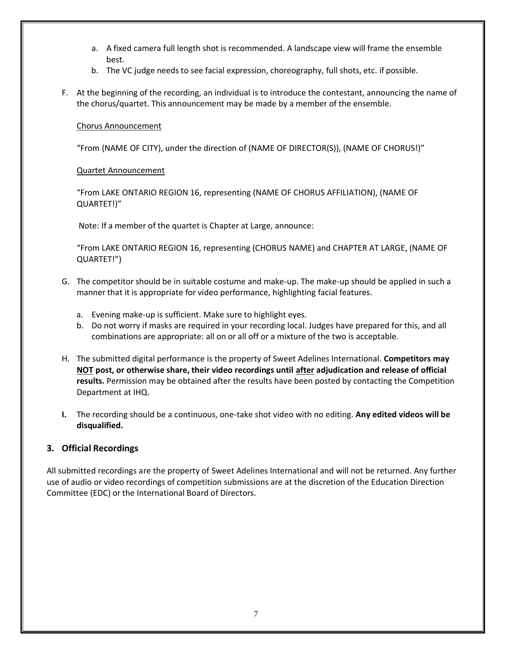- a. A fixed camera full length shot is recommended. A landscape view will frame the ensemble best.
- b. The VC judge needs to see facial expression, choreography, full shots, etc. if possible.
- F. At the beginning of the recording, an individual is to introduce the contestant, announcing the name of the chorus/quartet. This announcement may be made by a member of the ensemble.

#### Chorus Announcement

"From (NAME OF CITY), under the direction of (NAME OF DIRECTOR(S)), (NAME OF CHORUS!)"

#### Quartet Announcement

"From LAKE ONTARIO REGION 16, representing (NAME OF CHORUS AFFILIATION), (NAME OF QUARTET!)"

Note: If a member of the quartet is Chapter at Large, announce:

"From LAKE ONTARIO REGION 16, representing (CHORUS NAME) and CHAPTER AT LARGE, (NAME OF QUARTET!")

- G. The competitor should be in suitable costume and make-up. The make-up should be applied in such a manner that it is appropriate for video performance, highlighting facial features.
	- a. Evening make-up is sufficient. Make sure to highlight eyes.
	- b. Do not worry if masks are required in your recording local. Judges have prepared for this, and all combinations are appropriate: all on or all off or a mixture of the two is acceptable.
- H. The submitted digital performance is the property of Sweet Adelines International. **Competitors may NOT post, or otherwise share, their video recordings until after adjudication and release of official results.** Permission may be obtained after the results have been posted by contacting the Competition Department at IHQ.
- **I.** The recording should be a continuous, one-take shot video with no editing. **Any edited videos will be disqualified.**

### <span id="page-7-0"></span>**3. Official Recordings**

All submitted recordings are the property of Sweet Adelines International and will not be returned. Any further use of audio or video recordings of competition submissions are at the discretion of the Education Direction Committee (EDC) or the International Board of Directors.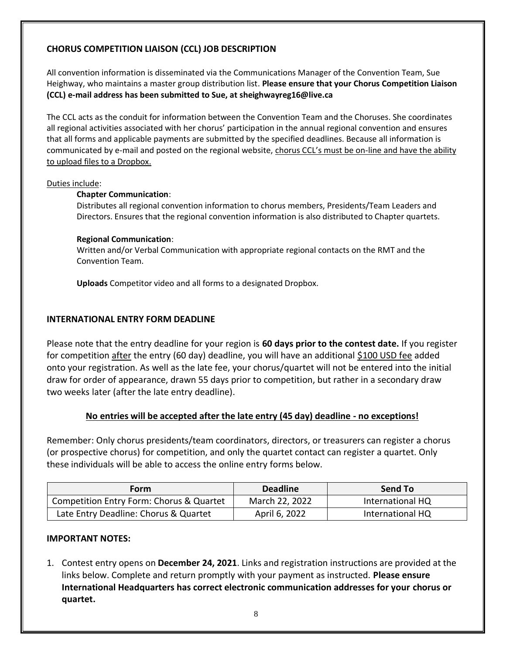# <span id="page-8-0"></span>**CHORUS COMPETITION LIAISON (CCL) JOB DESCRIPTION**

All convention information is disseminated via the Communications Manager of the Convention Team, Sue Heighway, who maintains a master group distribution list. **Please ensure that your Chorus Competition Liaison (CCL) e-mail address has been submitted to Sue, at [sheighwayreg16@live.ca](mailto:sheighwayreg16@live.ca)**

The CCL acts as the conduit for information between the Convention Team and the Choruses. She coordinates all regional activities associated with her chorus' participation in the annual regional convention and ensures that all forms and applicable payments are submitted by the specified deadlines. Because all information is communicated by e-mail and posted on the regional website, chorus CCL's must be on-line and have the ability to upload files to a Dropbox.

#### Duties include:

#### **Chapter Communication**:

Distributes all regional convention information to chorus members, Presidents/Team Leaders and Directors. Ensures that the regional convention information is also distributed to Chapter quartets.

#### **Regional Communication**:

Written and/or Verbal Communication with appropriate regional contacts on the RMT and the Convention Team.

**Uploads** Competitor video and all forms to a designated Dropbox.

### <span id="page-8-1"></span>**INTERNATIONAL ENTRY FORM DEADLINE**

Please note that the entry deadline for your region is **60 days prior to the contest date.** If you register for competition after the entry (60 day) deadline, you will have an additional \$100 USD fee added onto your registration. As well as the late fee, your chorus/quartet will not be entered into the initial draw for order of appearance, drawn 55 days prior to competition, but rather in a secondary draw two weeks later (after the late entry deadline).

### **No entries will be accepted after the late entry (45 day) deadline - no exceptions!**

Remember: Only chorus presidents/team coordinators, directors, or treasurers can register a chorus (or prospective chorus) for competition, and only the quartet contact can register a quartet. Only these individuals will be able to access the online entry forms below.

| Form                                     | <b>Deadline</b> | Send To          |
|------------------------------------------|-----------------|------------------|
| Competition Entry Form: Chorus & Quartet | March 22, 2022  | International HQ |
| Late Entry Deadline: Chorus & Quartet    | April 6, 2022   | International HQ |

### **IMPORTANT NOTES:**

1. Contest entry opens on **December 24, 2021**. Links and registration instructions are provided at the links below. Complete and return promptly with your payment as instructed. **Please ensure International Headquarters has correct electronic communication addresses for your chorus or quartet.**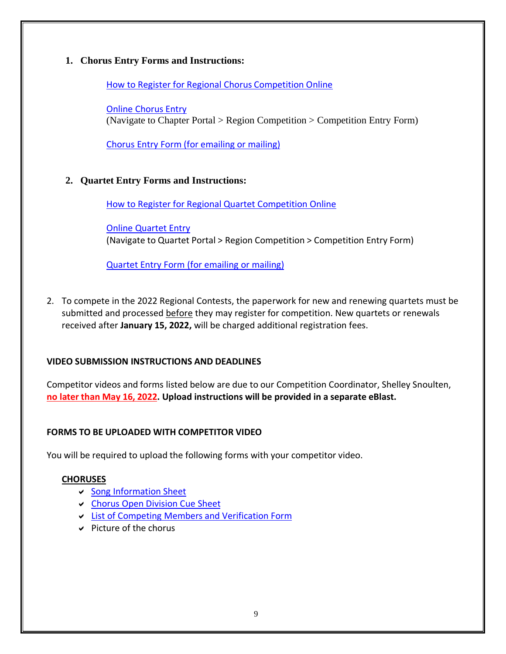# <span id="page-9-0"></span>**1. Chorus Entry Forms and Instructions:**

How to Register for Regional Chorus [Competition](https://sweetadelines.com/sites/default/files/Resources/Document_Center/Competition-Regional-Chorus/2020-How-to-Register-for-Regional-Competition-with-pics.pdf) Online

Online [Chorus](https://members.sweetadelines.com/membersonlymenu) Entry (Navigate to Chapter Portal > Region Competition > Competition Entry Form)

Chorus Entry Form (for [emailing](https://sweetadelines.com/sites/default/files/Events/Regional_Competition/2022-Regionals_Chorus-Entry-Form.pdf) or mailing)

# <span id="page-9-1"></span>**2. Quartet Entry Forms and Instructions:**

How to Register for Regional Quartet [Competition](https://sweetadelines.com/sites/default/files/Resources/Document_Center/Competition-Regional-Chorus/2020-How-to-Register-for-Regional-Competition-with-pics.pdf) Online

Online [Quartet](https://members.sweetadelines.com/membersonlymenu) Entry (Navigate to Quartet Portal > Region Competition > Competition Entry Form)

[Quartet Entry Form](https://sweetadelines.com/sites/default/files/Events/Regional_Competition/2022-Regionals_Quartet-Entry-Form.pdf) (for emailing or mailing)

2. To compete in the 2022 Regional Contests, the paperwork for new and renewing quartets must be submitted and processed before they may register for competition. New quartets or renewals received after **January 15, 2022,** will be charged additional registration fees.

# <span id="page-9-2"></span>**VIDEO SUBMISSION INSTRUCTIONS AND DEADLINES**

Competitor videos and forms listed below are due to our Competition Coordinator, Shelley Snoulten, **no later than May 16, 2022. Upload instructions will be provided in a separate eBlast.**

### <span id="page-9-3"></span>**FORMS TO BE UPLOADED WITH COMPETITOR VIDEO**

You will be required to upload the following forms with your competitor video.

### **CHORUSES**

- $\vee$  Song [Information](https://sweetadelines.com/sites/default/files/Events/Regional_Competition/2022-Regionals_Song-Information-Sheet.pdf) Sheet
- Chorus Open [Division Cue](https://sweetadelines.com/sites/default/files/Events/Regional_Competition/2022-Regionals_Chorus-Open-Division-Cue-Sheet.pdf) Sheet
- ↓ List of Competing Members and [Verification](https://sweetadelines.com/sites/default/files/Events/Regional_Competition/2022-Regionals_Chorus-List-of-Competing-Members.pdf) Form
- $\vee$  Picture of the chorus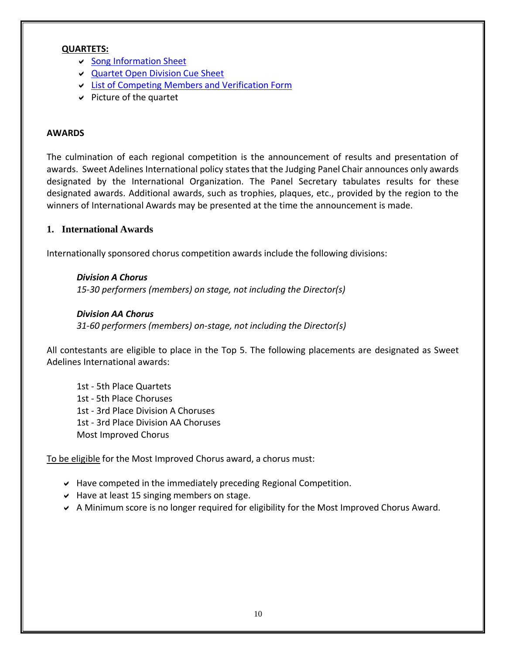#### **QUARTETS:**

- Song [Information](https://sweetadelines.com/sites/default/files/Events/Regional_Competition/2022-Regionals_Song-Information-Sheet.pdf) Sheet
- [Quartet Open](https://sweetadelines.com/sites/default/files/Events/Regional_Competition/2022-Regionals_Quartet-Open-Division-Cue-Sheet.pdf) Division Cue Sheet
- List of Competing Members and [Verification](https://sweetadelines.com/sites/default/files/Events/Regional_Competition/2022-Regionals_Chorus-List-of-Competing-Members.pdf) Form
- $\vee$  Picture of the quartet

#### <span id="page-10-0"></span>**AWARDS**

The culmination of each regional competition is the announcement of results and presentation of awards. Sweet Adelines International policy states that the Judging Panel Chair announces only awards designated by the International Organization. The Panel Secretary tabulates results for these designated awards. Additional awards, such as trophies, plaques, etc., provided by the region to the winners of International Awards may be presented at the time the announcement is made.

### <span id="page-10-1"></span>**1. International Awards**

Internationally sponsored chorus competition awards include the following divisions:

*Division A Chorus 15-30 performers (members) on stage, not including the Director(s)*

#### *Division AA Chorus*

*31-60 performers (members) on-stage, not including the Director(s)*

All contestants are eligible to place in the Top 5. The following placements are designated as Sweet Adelines International awards:

1st - 5th Place Quartets 1st - 5th Place Choruses 1st - 3rd Place Division A Choruses 1st - 3rd Place Division AA Choruses Most Improved Chorus

To be eligible for the Most Improved Chorus award, a chorus must:

- $\vee$  Have competed in the immediately preceding Regional Competition.
- $\vee$  Have at least 15 singing members on stage.
- A Minimum score is no longer required for eligibility for the Most Improved Chorus Award.